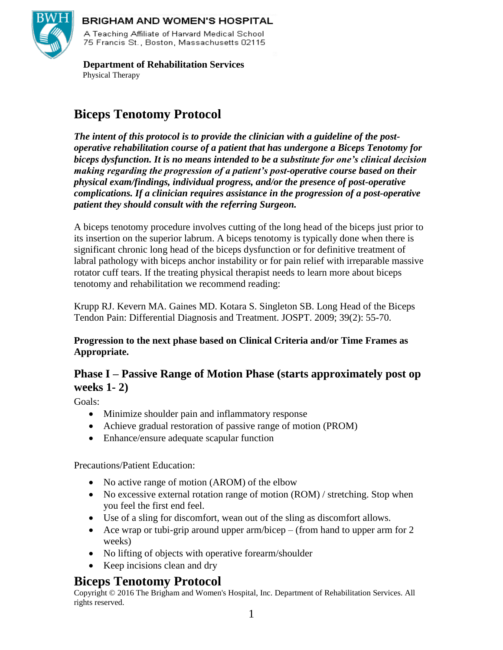

#### **BRIGHAM AND WOMEN'S HOSPITAL**

A Teaching Affiliate of Harvard Medical School 75 Francis St., Boston, Massachusetts 02115.

 **Department of Rehabilitation Services** Physical Therapy

# **Biceps Tenotomy Protocol**

*The intent of this protocol is to provide the clinician with a guideline of the postoperative rehabilitation course of a patient that has undergone a Biceps Tenotomy for biceps dysfunction. It is no means intended to be a substitute for one's clinical decision making regarding the progression of a patient's post-operative course based on their physical exam/findings, individual progress, and/or the presence of post-operative complications. If a clinician requires assistance in the progression of a post-operative patient they should consult with the referring Surgeon.*

A biceps tenotomy procedure involves cutting of the long head of the biceps just prior to its insertion on the superior labrum. A biceps tenotomy is typically done when there is significant chronic long head of the biceps dysfunction or for definitive treatment of labral pathology with biceps anchor instability or for pain relief with irreparable massive rotator cuff tears. If the treating physical therapist needs to learn more about biceps tenotomy and rehabilitation we recommend reading:

Krupp RJ. Kevern MA. Gaines MD. Kotara S. Singleton SB. Long Head of the Biceps Tendon Pain: Differential Diagnosis and Treatment. JOSPT. 2009; 39(2): 55-70.

#### **Progression to the next phase based on Clinical Criteria and/or Time Frames as Appropriate.**

## **Phase I – Passive Range of Motion Phase (starts approximately post op weeks 1- 2)**

Goals:

- Minimize shoulder pain and inflammatory response
- Achieve gradual restoration of passive range of motion (PROM)
- Enhance/ensure adequate scapular function

Precautions/Patient Education:

- No active range of motion (AROM) of the elbow
- No excessive external rotation range of motion (ROM) / stretching. Stop when you feel the first end feel.
- Use of a sling for discomfort, wean out of the sling as discomfort allows.
- Ace wrap or tubi-grip around upper arm/bicep (from hand to upper arm for 2) weeks)
- No lifting of objects with operative forearm/shoulder
- Keep incisions clean and dry

## **Biceps Tenotomy Protocol**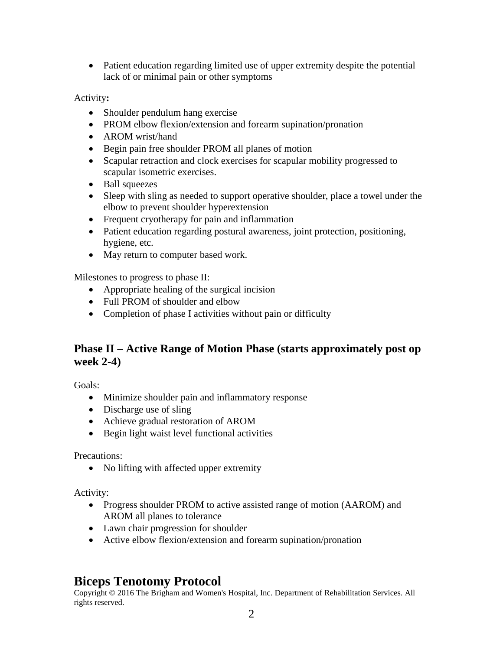Patient education regarding limited use of upper extremity despite the potential lack of or minimal pain or other symptoms

Activity**:**

- Shoulder pendulum hang exercise
- PROM elbow flexion/extension and forearm supination/pronation
- AROM wrist/hand
- Begin pain free shoulder PROM all planes of motion
- Scapular retraction and clock exercises for scapular mobility progressed to scapular isometric exercises.
- Ball squeezes
- Sleep with sling as needed to support operative shoulder, place a towel under the elbow to prevent shoulder hyperextension
- Frequent cryotherapy for pain and inflammation
- Patient education regarding postural awareness, joint protection, positioning, hygiene, etc.
- May return to computer based work.

Milestones to progress to phase II:

- Appropriate healing of the surgical incision
- Full PROM of shoulder and elbow
- Completion of phase I activities without pain or difficulty

## **Phase II – Active Range of Motion Phase (starts approximately post op week 2-4)**

Goals:

- Minimize shoulder pain and inflammatory response
- Discharge use of sling
- Achieve gradual restoration of AROM
- Begin light waist level functional activities

Precautions:

• No lifting with affected upper extremity

Activity:

- Progress shoulder PROM to active assisted range of motion (AAROM) and AROM all planes to tolerance
- Lawn chair progression for shoulder
- Active elbow flexion/extension and forearm supination/pronation

## **Biceps Tenotomy Protocol**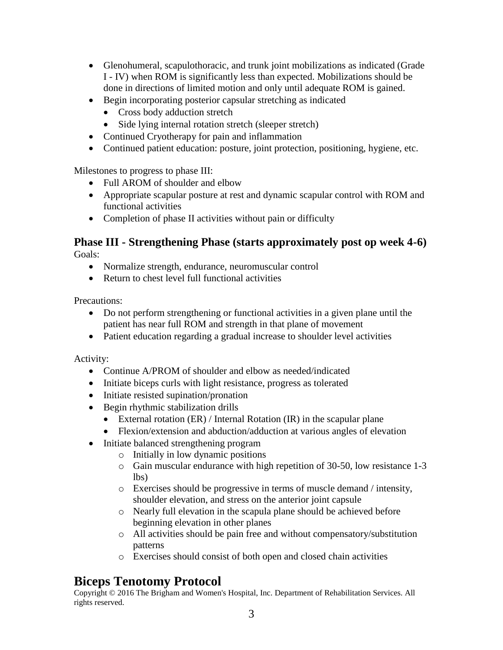- Glenohumeral, scapulothoracic, and trunk joint mobilizations as indicated (Grade I - IV) when ROM is significantly less than expected. Mobilizations should be done in directions of limited motion and only until adequate ROM is gained.
- Begin incorporating posterior capsular stretching as indicated
	- Cross body adduction stretch
	- Side lying internal rotation stretch (sleeper stretch)
- Continued Cryotherapy for pain and inflammation
- Continued patient education: posture, joint protection, positioning, hygiene, etc.

Milestones to progress to phase III:

- Full AROM of shoulder and elbow
- Appropriate scapular posture at rest and dynamic scapular control with ROM and functional activities
- Completion of phase II activities without pain or difficulty

#### **Phase III - Strengthening Phase (starts approximately post op week 4-6)** Goals:

- Normalize strength, endurance, neuromuscular control
- Return to chest level full functional activities

Precautions:

- Do not perform strengthening or functional activities in a given plane until the patient has near full ROM and strength in that plane of movement
- Patient education regarding a gradual increase to shoulder level activities

Activity:

- Continue A/PROM of shoulder and elbow as needed/indicated
- Initiate biceps curls with light resistance, progress as tolerated
- Initiate resisted supination/pronation
- Begin rhythmic stabilization drills
	- External rotation  $(ER)$  / Internal Rotation  $(IR)$  in the scapular plane
	- Flexion/extension and abduction/adduction at various angles of elevation
- Initiate balanced strengthening program
	- o Initially in low dynamic positions
	- o Gain muscular endurance with high repetition of 30-50, low resistance 1-3 lbs)
	- o Exercises should be progressive in terms of muscle demand / intensity, shoulder elevation, and stress on the anterior joint capsule
	- o Nearly full elevation in the scapula plane should be achieved before beginning elevation in other planes
	- o All activities should be pain free and without compensatory/substitution patterns
	- o Exercises should consist of both open and closed chain activities

## **Biceps Tenotomy Protocol**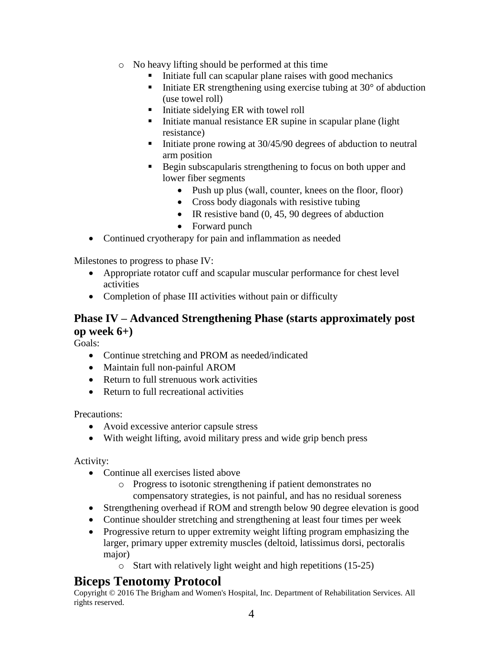- o No heavy lifting should be performed at this time
	- Initiate full can scapular plane raises with good mechanics
	- Initiate ER strengthening using exercise tubing at  $30^{\circ}$  of abduction (use towel roll)
	- Initiate sidelying ER with towel roll
	- $\blacksquare$  Initiate manual resistance ER supine in scapular plane (light resistance)
	- Initiate prone rowing at  $30/45/90$  degrees of abduction to neutral arm position
	- Begin subscapularis strengthening to focus on both upper and lower fiber segments
		- Push up plus (wall, counter, knees on the floor, floor)
		- Cross body diagonals with resistive tubing
		- $\bullet$  IR resistive band (0, 45, 90 degrees of abduction
		- Forward punch
- Continued cryotherapy for pain and inflammation as needed

Milestones to progress to phase IV:

- Appropriate rotator cuff and scapular muscular performance for chest level activities
- Completion of phase III activities without pain or difficulty

## **Phase IV – Advanced Strengthening Phase (starts approximately post op week 6+)**

Goals:

- Continue stretching and PROM as needed/indicated
- Maintain full non-painful AROM
- Return to full strenuous work activities
- Return to full recreational activities

Precautions:

- Avoid excessive anterior capsule stress
- With weight lifting, avoid military press and wide grip bench press

Activity:

- Continue all exercises listed above
	- o Progress to isotonic strengthening if patient demonstrates no compensatory strategies, is not painful, and has no residual soreness
- Strengthening overhead if ROM and strength below 90 degree elevation is good
- Continue shoulder stretching and strengthening at least four times per week
- Progressive return to upper extremity weight lifting program emphasizing the larger, primary upper extremity muscles (deltoid, latissimus dorsi, pectoralis major)
	- o Start with relatively light weight and high repetitions (15-25)

## **Biceps Tenotomy Protocol**